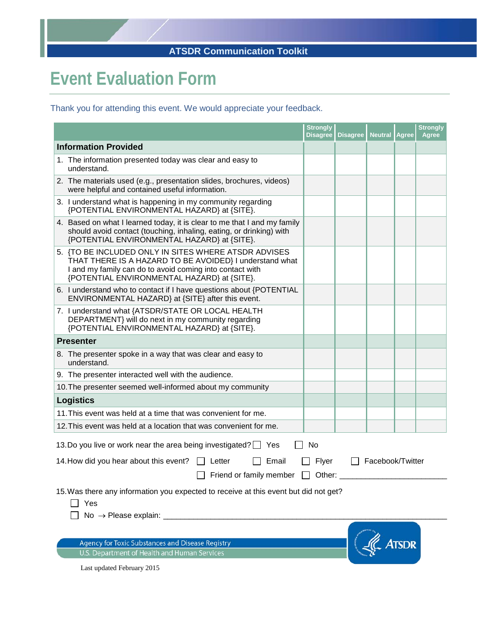## **ATSDR Communication Toolkit**

## **Event Evaluation Form**

Thank you for attending this event. We would appreciate your feedback.

|                                                                                                                                                                                                                            | <b>Strongly</b><br><b>Disagree</b> | <b>Disagree</b> | <b>Neutral</b> | <b>Agree</b> | <b>Strongly</b><br><b>Agree</b> |
|----------------------------------------------------------------------------------------------------------------------------------------------------------------------------------------------------------------------------|------------------------------------|-----------------|----------------|--------------|---------------------------------|
| <b>Information Provided</b>                                                                                                                                                                                                |                                    |                 |                |              |                                 |
| 1. The information presented today was clear and easy to<br>understand.                                                                                                                                                    |                                    |                 |                |              |                                 |
| 2. The materials used (e.g., presentation slides, brochures, videos)<br>were helpful and contained useful information.                                                                                                     |                                    |                 |                |              |                                 |
| 3. I understand what is happening in my community regarding<br>{POTENTIAL ENVIRONMENTAL HAZARD} at {SITE}.                                                                                                                 |                                    |                 |                |              |                                 |
| 4. Based on what I learned today, it is clear to me that I and my family<br>should avoid contact (touching, inhaling, eating, or drinking) with<br>{POTENTIAL ENVIRONMENTAL HAZARD} at {SITE}.                             |                                    |                 |                |              |                                 |
| 5. {TO BE INCLUDED ONLY IN SITES WHERE ATSDR ADVISES<br>THAT THERE IS A HAZARD TO BE AVOIDED} I understand what<br>I and my family can do to avoid coming into contact with<br>{POTENTIAL ENVIRONMENTAL HAZARD} at {SITE}. |                                    |                 |                |              |                                 |
| 6. I understand who to contact if I have questions about {POTENTIAL<br>ENVIRONMENTAL HAZARD} at {SITE} after this event.                                                                                                   |                                    |                 |                |              |                                 |
| 7. I understand what {ATSDR/STATE OR LOCAL HEALTH<br>DEPARTMENT} will do next in my community regarding<br>{POTENTIAL ENVIRONMENTAL HAZARD} at {SITE}.                                                                     |                                    |                 |                |              |                                 |
| <b>Presenter</b>                                                                                                                                                                                                           |                                    |                 |                |              |                                 |
| 8. The presenter spoke in a way that was clear and easy to<br>understand.                                                                                                                                                  |                                    |                 |                |              |                                 |
| 9. The presenter interacted well with the audience.                                                                                                                                                                        |                                    |                 |                |              |                                 |
| 10. The presenter seemed well-informed about my community                                                                                                                                                                  |                                    |                 |                |              |                                 |
| <b>Logistics</b>                                                                                                                                                                                                           |                                    |                 |                |              |                                 |
| 11. This event was held at a time that was convenient for me.                                                                                                                                                              |                                    |                 |                |              |                                 |
| 12. This event was held at a location that was convenient for me.                                                                                                                                                          |                                    |                 |                |              |                                 |
| 13. Do you live or work near the area being investigated? Yes<br>No                                                                                                                                                        |                                    |                 |                |              |                                 |
| Facebook/Twitter<br>14. How did you hear about this event?<br>Email<br>Flyer<br>Letter                                                                                                                                     |                                    |                 |                |              |                                 |
| Friend or family member $\Box$ Other:                                                                                                                                                                                      |                                    |                 |                |              |                                 |
| 15. Was there any information you expected to receive at this event but did not get?<br>Yes                                                                                                                                |                                    |                 |                |              |                                 |
|                                                                                                                                                                                                                            |                                    |                 |                |              |                                 |
|                                                                                                                                                                                                                            |                                    |                 |                |              |                                 |
| <b>ATSDR</b><br><b>Agency for Toxic Substances and Disease Registry</b>                                                                                                                                                    |                                    |                 |                |              |                                 |
| U.S. Department of Health and Human Services                                                                                                                                                                               |                                    |                 |                |              |                                 |

Last updated February 2015